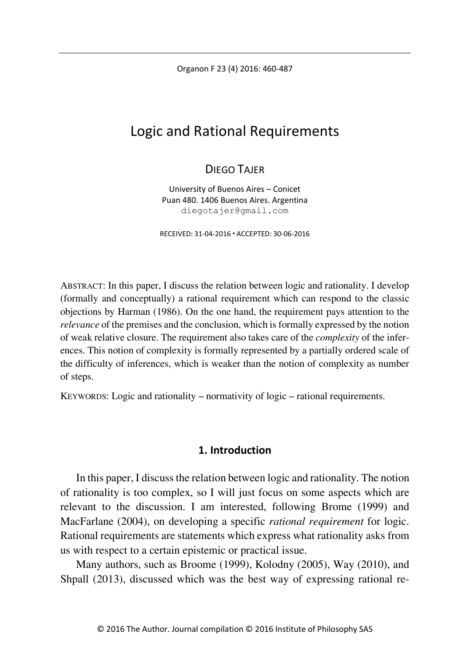Organon F 23 (4) 2016: 460-487

# Logic and Rational Requirements

## DIFGO TAIFR

University of Buenos Aires – Conicet Puan 480. 1406 Buenos Aires. Argentina diegotajer@gmail.com

RECEIVED: 31-04-2016 ACCEPTED: 30-06-2016

ABSTRACT: In this paper, I discuss the relation between logic and rationality. I develop (formally and conceptually) a rational requirement which can respond to the classic objections by Harman (1986). On the one hand, the requirement pays attention to the *relevance* of the premises and the conclusion, which is formally expressed by the notion of weak relative closure. The requirement also takes care of the *complexity* of the inferences. This notion of complexity is formally represented by a partially ordered scale of the difficulty of inferences, which is weaker than the notion of complexity as number of steps.

KEYWORDS: Logic and rationality – normativity of logic – rational requirements.

## **1. Introduction**

In this paper, I discuss the relation between logic and rationality. The notion of rationality is too complex, so I will just focus on some aspects which are relevant to the discussion. I am interested, following Brome (1999) and MacFarlane (2004), on developing a specific *rational requirement* for logic. Rational requirements are statements which express what rationality asks from us with respect to a certain epistemic or practical issue.

Many authors, such as Broome (1999), Kolodny (2005), Way (2010), and Shpall (2013), discussed which was the best way of expressing rational re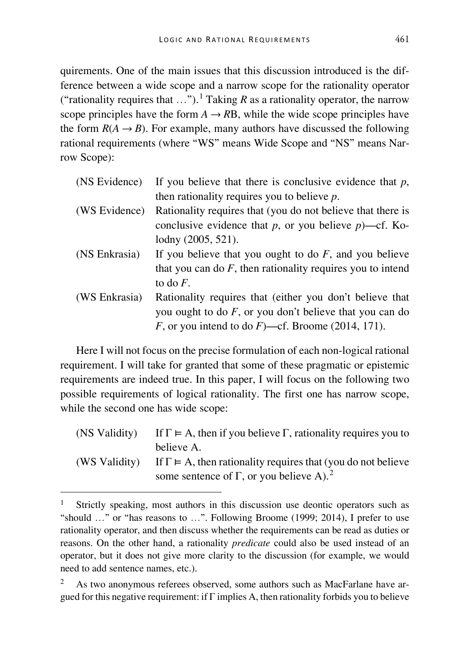quirements. One of the main issues that this discussion introduced is the difference between a wide scope and a narrow scope for the rationality operator ("rationality requires that ...").<sup>[1](#page-1-0)</sup> Taking *R* as a rationality operator, the narrow scope principles have the form  $A \rightarrow RB$ , while the wide scope principles have the form  $R(A \rightarrow B)$ . For example, many authors have discussed the following rational requirements (where "WS" means Wide Scope and "NS" means Narrow Scope):

| (NS Evidence) | If you believe that there is conclusive evidence that $p$ ,   |
|---------------|---------------------------------------------------------------|
|               | then rationality requires you to believe $p$ .                |
| (WS Evidence) | Rationality requires that (you do not believe that there is   |
|               | conclusive evidence that p, or you believe $p$ )—cf. Ko-      |
|               | lodny $(2005, 521)$ .                                         |
| (NS Enkrasia) | If you believe that you ought to do $F$ , and you believe     |
|               | that you can do $F$ , then rationality requires you to intend |
|               | to do $F$ .                                                   |
| (WS Enkrasia) | Rationality requires that (either you don't believe that      |
|               | you ought to do $F$ , or you don't believe that you can do    |
|               | F, or you intend to do F)—cf. Broome (2014, 171).             |
|               |                                                               |

Here I will not focus on the precise formulation of each non-logical rational requirement. I will take for granted that some of these pragmatic or epistemic requirements are indeed true. In this paper, I will focus on the following two possible requirements of logical rationality. The first one has narrow scope, while the second one has wide scope:

| (NS Validity) | If $\Gamma \models A$ , then if you believe $\Gamma$ , rationality requires you to |
|---------------|------------------------------------------------------------------------------------|
|               | believe A.                                                                         |
| (WS Validity) | If $\Gamma \models A$ , then rationality requires that (you do not believe         |
|               | some sentence of $\Gamma$ , or you believe A). <sup>2</sup>                        |

<span id="page-1-0"></span>Strictly speaking, most authors in this discussion use deontic operators such as "should …" or "has reasons to …". Following Broome (1999; 2014), I prefer to use rationality operator, and then discuss whether the requirements can be read as duties or reasons. On the other hand, a rationality *predicate* could also be used instead of an operator, but it does not give more clarity to the discussion (for example, we would need to add sentence names, etc.).

<span id="page-1-1"></span><sup>2</sup> As two anonymous referees observed, some authors such as MacFarlane have argued for this negative requirement: if  $\Gamma$  implies A, then rationality forbids you to believe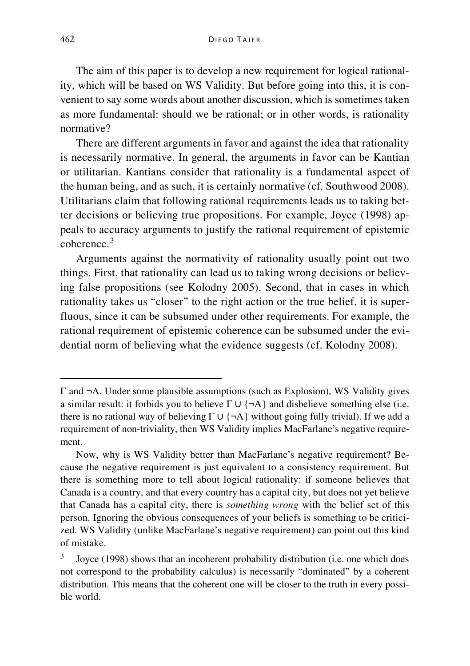The aim of this paper is to develop a new requirement for logical rationality, which will be based on WS Validity. But before going into this, it is convenient to say some words about another discussion, which is sometimes taken as more fundamental: should we be rational; or in other words, is rationality normative?

There are different arguments in favor and against the idea that rationality is necessarily normative. In general, the arguments in favor can be Kantian or utilitarian. Kantians consider that rationality is a fundamental aspect of the human being, and as such, it is certainly normative (cf. Southwood 2008). Utilitarians claim that following rational requirements leads us to taking better decisions or believing true propositions. For example, Joyce (1998) appeals to accuracy arguments to justify the rational requirement of epistemic coherence<sup>[3](#page-2-0)</sup>

Arguments against the normativity of rationality usually point out two things. First, that rationality can lead us to taking wrong decisions or believing false propositions (see Kolodny 2005). Second, that in cases in which rationality takes us "closer" to the right action or the true belief, it is superfluous, since it can be subsumed under other requirements. For example, the rational requirement of epistemic coherence can be subsumed under the evidential norm of believing what the evidence suggests (cf. Kolodny 2008).

-

Γ and ¬A. Under some plausible assumptions (such as Explosion), WS Validity gives a similar result: it forbids you to believe  $\Gamma \cup \{\neg A\}$  and disbelieve something else (i.e. there is no rational way of believing  $\Gamma \cup \{\neg A\}$  without going fully trivial). If we add a requirement of non-triviality, then WS Validity implies MacFarlane's negative requirement.

Now, why is WS Validity better than MacFarlane's negative requirement? Because the negative requirement is just equivalent to a consistency requirement. But there is something more to tell about logical rationality: if someone believes that Canada is a country, and that every country has a capital city, but does not yet believe that Canada has a capital city, there is *something wrong* with the belief set of this person. Ignoring the obvious consequences of your beliefs is something to be criticized. WS Validity (unlike MacFarlane's negative requirement) can point out this kind of mistake.

<span id="page-2-0"></span><sup>&</sup>lt;sup>3</sup> Joyce (1998) shows that an incoherent probability distribution (i.e. one which does not correspond to the probability calculus) is necessarily "dominated" by a coherent distribution. This means that the coherent one will be closer to the truth in every possible world.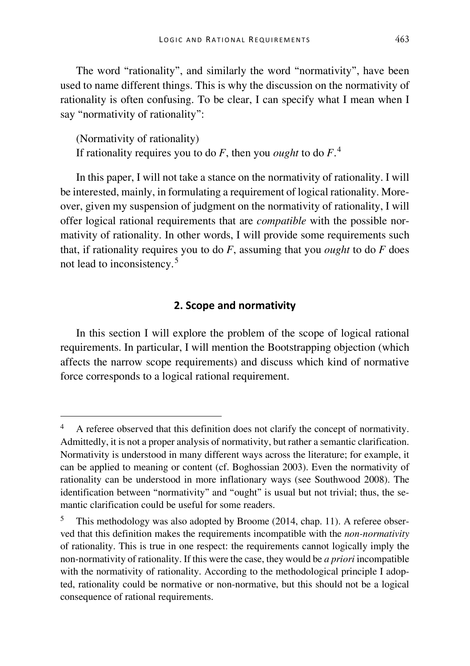The word "rationality", and similarly the word "normativity", have been used to name different things. This is why the discussion on the normativity of rationality is often confusing. To be clear, I can specify what I mean when I say "normativity of rationality":

(Normativity of rationality) If rationality requires you to do *F*, then you *ought* to do *F*. [4](#page-3-0)

In this paper, I will not take a stance on the normativity of rationality. I will be interested, mainly, in formulating a requirement of logical rationality. Moreover, given my suspension of judgment on the normativity of rationality, I will offer logical rational requirements that are *compatible* with the possible normativity of rationality. In other words, I will provide some requirements such that, if rationality requires you to do *F*, assuming that you *ought* to do *F* does not lead to inconsistency. [5](#page-3-1)

#### **2. Scope and normativity**

In this section I will explore the problem of the scope of logical rational requirements. In particular, I will mention the Bootstrapping objection (which affects the narrow scope requirements) and discuss which kind of normative force corresponds to a logical rational requirement.

<span id="page-3-0"></span> <sup>4</sup> A referee observed that this definition does not clarify the concept of normativity. Admittedly, it is not a proper analysis of normativity, but rather a semantic clarification. Normativity is understood in many different ways across the literature; for example, it can be applied to meaning or content (cf. Boghossian 2003). Even the normativity of rationality can be understood in more inflationary ways (see Southwood 2008). The identification between "normativity" and "ought" is usual but not trivial; thus, the semantic clarification could be useful for some readers.

<span id="page-3-1"></span>This methodology was also adopted by Broome (2014, chap. 11). A referee observed that this definition makes the requirements incompatible with the *non-normativity* of rationality. This is true in one respect: the requirements cannot logically imply the non-normativity of rationality. If this were the case, they would be *a priori* incompatible with the normativity of rationality. According to the methodological principle I adopted, rationality could be normative or non-normative, but this should not be a logical consequence of rational requirements.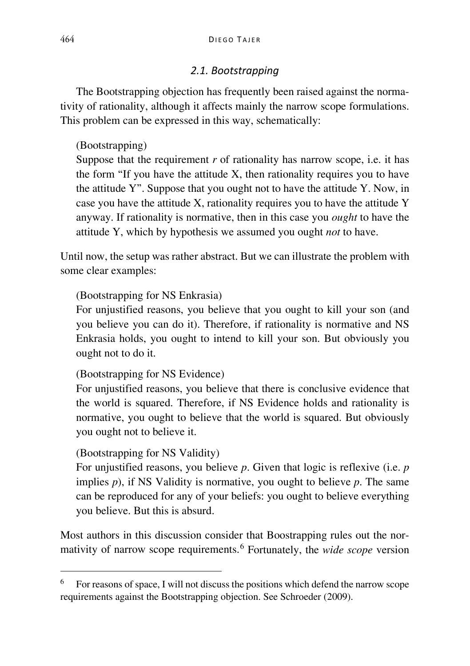## *2.1. Bootstrapping*

The Bootstrapping objection has frequently been raised against the normativity of rationality, although it affects mainly the narrow scope formulations. This problem can be expressed in this way, schematically:

## (Bootstrapping)

Suppose that the requirement *r* of rationality has narrow scope, i.e. it has the form "If you have the attitude X, then rationality requires you to have the attitude Y". Suppose that you ought not to have the attitude Y. Now, in case you have the attitude X, rationality requires you to have the attitude Y anyway. If rationality is normative, then in this case you *ought* to have the attitude Y, which by hypothesis we assumed you ought *not* to have.

Until now, the setup was rather abstract. But we can illustrate the problem with some clear examples:

## (Bootstrapping for NS Enkrasia)

For unjustified reasons, you believe that you ought to kill your son (and you believe you can do it). Therefore, if rationality is normative and NS Enkrasia holds, you ought to intend to kill your son. But obviously you ought not to do it.

## (Bootstrapping for NS Evidence)

For unjustified reasons, you believe that there is conclusive evidence that the world is squared. Therefore, if NS Evidence holds and rationality is normative, you ought to believe that the world is squared. But obviously you ought not to believe it.

## (Bootstrapping for NS Validity)

For unjustified reasons, you believe *p*. Given that logic is reflexive (i.e. *p*  implies *p*), if NS Validity is normative, you ought to believe *p*. The same can be reproduced for any of your beliefs: you ought to believe everything you believe. But this is absurd.

Most authors in this discussion consider that Boostrapping rules out the normativity of narrow scope requirements.[6](#page-4-0) Fortunately, the *wide scope* version

<span id="page-4-0"></span> <sup>6</sup> For reasons of space, I will not discuss the positions which defend the narrow scope requirements against the Bootstrapping objection. See Schroeder (2009).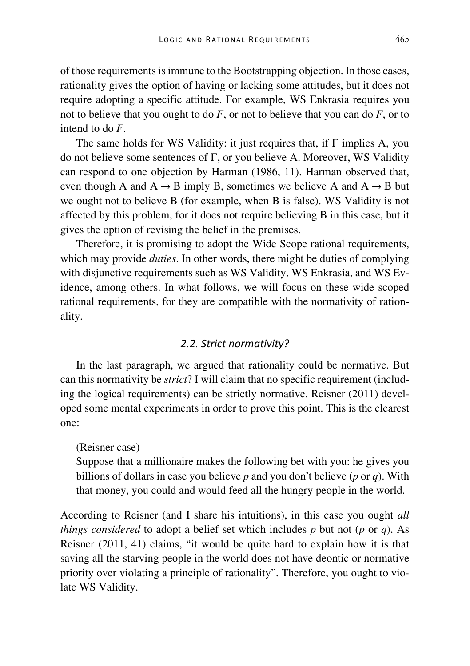of those requirements is immune to the Bootstrapping objection. In those cases, rationality gives the option of having or lacking some attitudes, but it does not require adopting a specific attitude. For example, WS Enkrasia requires you not to believe that you ought to do *F*, or not to believe that you can do *F*, or to intend to do *F*.

The same holds for WS Validity: it just requires that, if  $\Gamma$  implies A, you do not believe some sentences of Γ, or you believe A. Moreover, WS Validity can respond to one objection by Harman (1986, 11). Harman observed that, even though A and  $A \rightarrow B$  imply B, sometimes we believe A and  $A \rightarrow B$  but we ought not to believe B (for example, when B is false). WS Validity is not affected by this problem, for it does not require believing B in this case, but it gives the option of revising the belief in the premises.

Therefore, it is promising to adopt the Wide Scope rational requirements, which may provide *duties*. In other words, there might be duties of complying with disjunctive requirements such as WS Validity, WS Enkrasia, and WS Evidence, among others. In what follows, we will focus on these wide scoped rational requirements, for they are compatible with the normativity of rationality.

### *2.2. Strict normativity?*

In the last paragraph, we argued that rationality could be normative. But can this normativity be *strict*? I will claim that no specific requirement (including the logical requirements) can be strictly normative. Reisner (2011) developed some mental experiments in order to prove this point. This is the clearest one:

#### (Reisner case)

Suppose that a millionaire makes the following bet with you: he gives you billions of dollars in case you believe *p* and you don't believe (*p* or *q*). With that money, you could and would feed all the hungry people in the world.

According to Reisner (and I share his intuitions), in this case you ought *all things considered* to adopt a belief set which includes *p* but not (*p* or *q*). As Reisner (2011, 41) claims, "it would be quite hard to explain how it is that saving all the starving people in the world does not have deontic or normative priority over violating a principle of rationality". Therefore, you ought to violate WS Validity.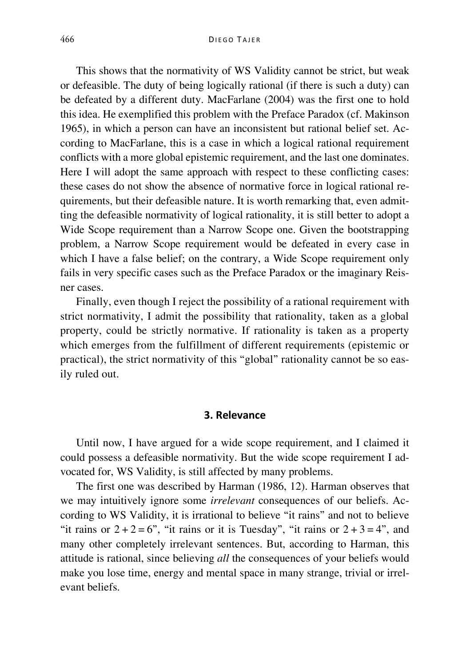This shows that the normativity of WS Validity cannot be strict, but weak or defeasible. The duty of being logically rational (if there is such a duty) can be defeated by a different duty. MacFarlane (2004) was the first one to hold this idea. He exemplified this problem with the Preface Paradox (cf. Makinson 1965), in which a person can have an inconsistent but rational belief set. According to MacFarlane, this is a case in which a logical rational requirement conflicts with a more global epistemic requirement, and the last one dominates. Here I will adopt the same approach with respect to these conflicting cases: these cases do not show the absence of normative force in logical rational requirements, but their defeasible nature. It is worth remarking that, even admitting the defeasible normativity of logical rationality, it is still better to adopt a Wide Scope requirement than a Narrow Scope one. Given the bootstrapping problem, a Narrow Scope requirement would be defeated in every case in which I have a false belief; on the contrary, a Wide Scope requirement only fails in very specific cases such as the Preface Paradox or the imaginary Reisner cases.

Finally, even though I reject the possibility of a rational requirement with strict normativity, I admit the possibility that rationality, taken as a global property, could be strictly normative. If rationality is taken as a property which emerges from the fulfillment of different requirements (epistemic or practical), the strict normativity of this "global" rationality cannot be so easily ruled out.

#### **3. Relevance**

Until now, I have argued for a wide scope requirement, and I claimed it could possess a defeasible normativity. But the wide scope requirement I advocated for, WS Validity, is still affected by many problems.

The first one was described by Harman (1986, 12). Harman observes that we may intuitively ignore some *irrelevant* consequences of our beliefs. According to WS Validity, it is irrational to believe "it rains" and not to believe "it rains or  $2 + 2 = 6$ ", "it rains or it is Tuesday", "it rains or  $2 + 3 = 4$ ", and many other completely irrelevant sentences. But, according to Harman, this attitude is rational, since believing *all* the consequences of your beliefs would make you lose time, energy and mental space in many strange, trivial or irrelevant beliefs.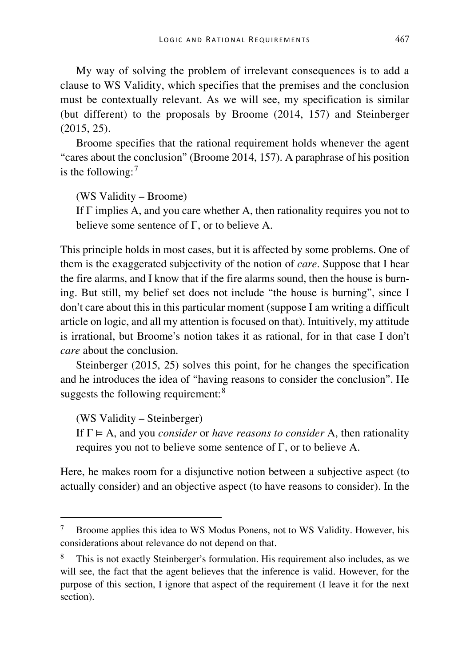My way of solving the problem of irrelevant consequences is to add a clause to WS Validity, which specifies that the premises and the conclusion must be contextually relevant. As we will see, my specification is similar (but different) to the proposals by Broome (2014, 157) and Steinberger (2015, 25).

Broome specifies that the rational requirement holds whenever the agent "cares about the conclusion" (Broome 2014, 157). A paraphrase of his position is the following:<sup>[7](#page-7-0)</sup>

(WS Validity – Broome)

If Γ implies A, and you care whether A, then rationality requires you not to believe some sentence of  $\Gamma$ , or to believe A.

This principle holds in most cases, but it is affected by some problems. One of them is the exaggerated subjectivity of the notion of *care*. Suppose that I hear the fire alarms, and I know that if the fire alarms sound, then the house is burning. But still, my belief set does not include "the house is burning", since I don't care about this in this particular moment (suppose I am writing a difficult article on logic, and all my attention is focused on that). Intuitively, my attitude is irrational, but Broome's notion takes it as rational, for in that case I don't *care* about the conclusion.

Steinberger (2015, 25) solves this point, for he changes the specification and he introduces the idea of "having reasons to consider the conclusion". He suggests the following requirement: $8$ 

(WS Validity – Steinberger)

If  $\Gamma \models A$ , and you *consider* or *have reasons to consider* A, then rationality requires you not to believe some sentence of Γ, or to believe A.

Here, he makes room for a disjunctive notion between a subjective aspect (to actually consider) and an objective aspect (to have reasons to consider). In the

<span id="page-7-0"></span> <sup>7</sup> Broome applies this idea to WS Modus Ponens, not to WS Validity. However, his considerations about relevance do not depend on that.

<span id="page-7-1"></span><sup>8</sup> This is not exactly Steinberger's formulation. His requirement also includes, as we will see, the fact that the agent believes that the inference is valid. However, for the purpose of this section, I ignore that aspect of the requirement (I leave it for the next section).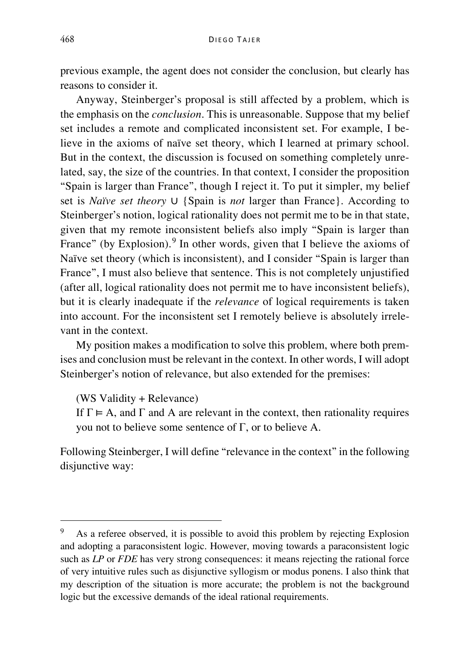previous example, the agent does not consider the conclusion, but clearly has reasons to consider it.

Anyway, Steinberger's proposal is still affected by a problem, which is the emphasis on the *conclusion*. This is unreasonable. Suppose that my belief set includes a remote and complicated inconsistent set. For example, I believe in the axioms of naïve set theory, which I learned at primary school. But in the context, the discussion is focused on something completely unrelated, say, the size of the countries. In that context, I consider the proposition "Spain is larger than France", though I reject it. To put it simpler, my belief set is *Naïve set theory*  $\cup$  {Spain is *not* larger than France}. According to Steinberger's notion, logical rationality does not permit me to be in that state, given that my remote inconsistent beliefs also imply "Spain is larger than France" (by Explosion).<sup>[9](#page-8-0)</sup> In other words, given that I believe the axioms of Naïve set theory (which is inconsistent), and I consider "Spain is larger than France", I must also believe that sentence. This is not completely unjustified (after all, logical rationality does not permit me to have inconsistent beliefs), but it is clearly inadequate if the *relevance* of logical requirements is taken into account. For the inconsistent set I remotely believe is absolutely irrelevant in the context.

My position makes a modification to solve this problem, where both premises and conclusion must be relevant in the context. In other words, I will adopt Steinberger's notion of relevance, but also extended for the premises:

(WS Validity + Relevance)

If  $\Gamma \models A$ , and  $\Gamma$  and A are relevant in the context, then rationality requires you not to believe some sentence of Γ, or to believe A.

Following Steinberger, I will define "relevance in the context" in the following disjunctive way:

<span id="page-8-0"></span><sup>&</sup>lt;sup>9</sup> As a referee observed, it is possible to avoid this problem by rejecting Explosion and adopting a paraconsistent logic. However, moving towards a paraconsistent logic such as *LP* or *FDE* has very strong consequences: it means rejecting the rational force of very intuitive rules such as disjunctive syllogism or modus ponens. I also think that my description of the situation is more accurate; the problem is not the background logic but the excessive demands of the ideal rational requirements.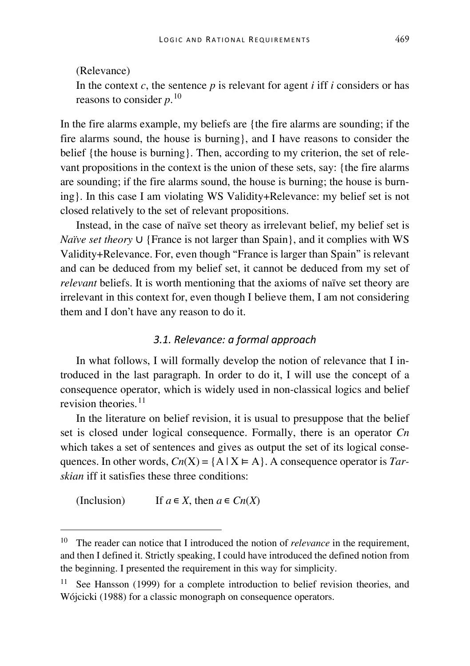(Relevance) In the context  $c$ , the sentence  $p$  is relevant for agent  $i$  iff  $i$  considers or has reasons to consider *p*. [10](#page-9-0)

In the fire alarms example, my beliefs are {the fire alarms are sounding; if the fire alarms sound, the house is burning}, and I have reasons to consider the belief {the house is burning}. Then, according to my criterion, the set of relevant propositions in the context is the union of these sets, say: {the fire alarms are sounding; if the fire alarms sound, the house is burning; the house is burning}. In this case I am violating WS Validity+Relevance: my belief set is not closed relatively to the set of relevant propositions.

Instead, in the case of naïve set theory as irrelevant belief, my belief set is *Naïve set theory*  $\cup$  {France is not larger than Spain}, and it complies with WS Validity+Relevance. For, even though "France is larger than Spain" is relevant and can be deduced from my belief set, it cannot be deduced from my set of *relevant* beliefs. It is worth mentioning that the axioms of naïve set theory are irrelevant in this context for, even though I believe them, I am not considering them and I don't have any reason to do it.

### *3.1. Relevance: a formal approach*

In what follows, I will formally develop the notion of relevance that I introduced in the last paragraph. In order to do it, I will use the concept of a consequence operator, which is widely used in non-classical logics and belief revision theories.<sup>[11](#page-9-1)</sup>

In the literature on belief revision, it is usual to presuppose that the belief set is closed under logical consequence. Formally, there is an operator *Cn* which takes a set of sentences and gives as output the set of its logical consequences. In other words,  $Cn(X) = \{A \mid X \in A\}$ . A consequence operator is *Tarskian* iff it satisfies these three conditions:

(Inclusion) If  $a \in X$ , then  $a \in Cn(X)$ 

<span id="page-9-0"></span><sup>&</sup>lt;sup>10</sup> The reader can notice that I introduced the notion of *relevance* in the requirement, and then I defined it. Strictly speaking, I could have introduced the defined notion from the beginning. I presented the requirement in this way for simplicity.

<span id="page-9-1"></span><sup>&</sup>lt;sup>11</sup> See Hansson (1999) for a complete introduction to belief revision theories, and Wójcicki (1988) for a classic monograph on consequence operators.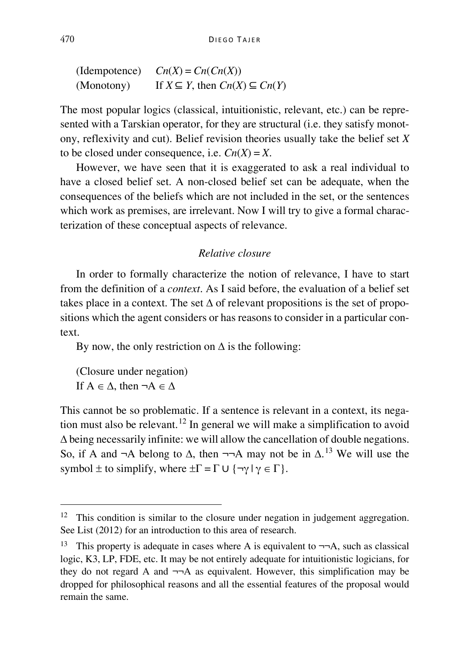$C_n(X) = C_n(C_n(X))$ (Monotony) If  $X \subseteq Y$ , then  $Cn(X) \subseteq Cn(Y)$ 

The most popular logics (classical, intuitionistic, relevant, etc.) can be represented with a Tarskian operator, for they are structural (i.e. they satisfy monotony, reflexivity and cut). Belief revision theories usually take the belief set *X*  to be closed under consequence, i.e.  $Cn(X) = X$ .

However, we have seen that it is exaggerated to ask a real individual to have a closed belief set. A non-closed belief set can be adequate, when the consequences of the beliefs which are not included in the set, or the sentences which work as premises, are irrelevant. Now I will try to give a formal characterization of these conceptual aspects of relevance.

## *Relative closure*

In order to formally characterize the notion of relevance, I have to start from the definition of a *context*. As I said before, the evaluation of a belief set takes place in a context. The set  $\Delta$  of relevant propositions is the set of propositions which the agent considers or has reasons to consider in a particular context.

By now, the only restriction on  $\Delta$  is the following:

(Closure under negation) If  $A \in \Lambda$ , then  $\neg A \in \Lambda$ 

This cannot be so problematic. If a sentence is relevant in a context, its nega-tion must also be relevant.<sup>[12](#page-10-0)</sup> In general we will make a simplification to avoid  $\Delta$  being necessarily infinite: we will allow the cancellation of double negations. So, if A and  $\neg$ A belong to  $\Delta$ , then  $\neg\neg$ A may not be in  $\Delta$ .<sup>[13](#page-10-1)</sup> We will use the symbol  $\pm$  to simplify, where  $\pm\Gamma = \Gamma \cup {\neg \gamma \mid \gamma \in \Gamma}$ .

<span id="page-10-0"></span><sup>&</sup>lt;sup>12</sup> This condition is similar to the closure under negation in judgement aggregation. See List (2012) for an introduction to this area of research.

<span id="page-10-1"></span><sup>13</sup> This property is adequate in cases where A is equivalent to  $\neg\neg A$ , such as classical logic, K3, LP, FDE, etc. It may be not entirely adequate for intuitionistic logicians, for they do not regard A and  $\neg A$  as equivalent. However, this simplification may be dropped for philosophical reasons and all the essential features of the proposal would remain the same.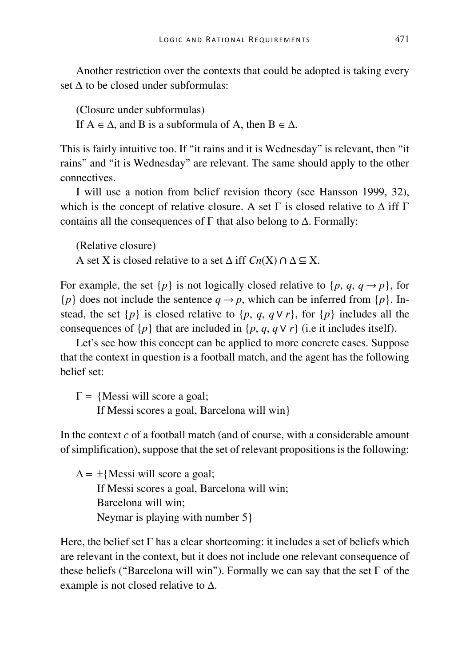Another restriction over the contexts that could be adopted is taking every set Δ to be closed under subformulas:

(Closure under subformulas)

If  $A \in \Delta$ , and B is a subformula of A, then  $B \in \Delta$ .

This is fairly intuitive too. If "it rains and it is Wednesday" is relevant, then "it rains" and "it is Wednesday" are relevant. The same should apply to the other connectives.

I will use a notion from belief revision theory (see Hansson 1999, 32), which is the concept of relative closure. A set  $\Gamma$  is closed relative to  $\Delta$  iff  $\Gamma$ contains all the consequences of  $\Gamma$  that also belong to  $\Delta$ . Formally:

(Relative closure) A set X is closed relative to a set  $\triangle$  iff  $Cn(X) \cap \triangle \subseteq X$ .

For example, the set  $\{p\}$  is not logically closed relative to  $\{p, q, q \rightarrow p\}$ , for  ${p}$  does not include the sentence  $q \rightarrow p$ , which can be inferred from  ${p}$ . Instead, the set  $\{p\}$  is closed relative to  $\{p, q, q \lor r\}$ , for  $\{p\}$  includes all the consequences of  $\{p\}$  that are included in  $\{p, q, q \vee r\}$  (i.e it includes itself).

Let's see how this concept can be applied to more concrete cases. Suppose that the context in question is a football match, and the agent has the following belief set:

 $\Gamma = \{$ Messi will score a goal:

If Messi scores a goal, Barcelona will win}

In the context *c* of a football match (and of course, with a considerable amount of simplification), suppose that the set of relevant propositions is the following:

 $\Delta = \pm$ {Messi will score a goal; If Messi scores a goal, Barcelona will win; Barcelona will win; Neymar is playing with number 5}

Here, the belief set Γ has a clear shortcoming: it includes a set of beliefs which are relevant in the context, but it does not include one relevant consequence of these beliefs ("Barcelona will win"). Formally we can say that the set  $\Gamma$  of the example is not closed relative to  $\Delta$ .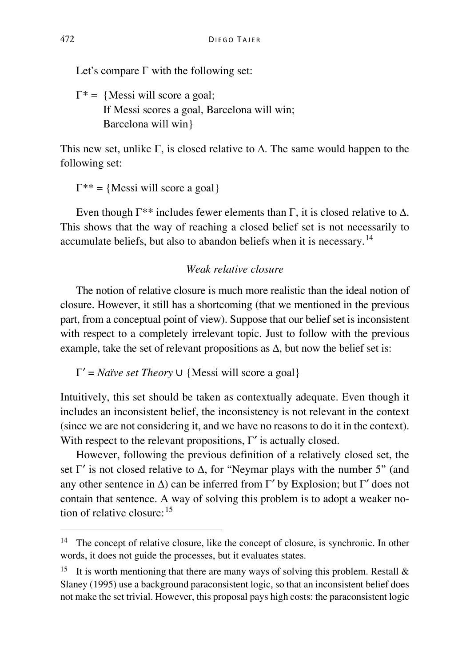Let's compare  $\Gamma$  with the following set:

 $\Gamma^* = \{$ Messi will score a goal; If Messi scores a goal, Barcelona will win; Barcelona will win}

This new set, unlike  $\Gamma$ , is closed relative to  $\Delta$ . The same would happen to the following set:

 $\Gamma^{**} = \{$ Messi will score a goal $\}$ 

Even though  $\Gamma^{**}$  includes fewer elements than  $\Gamma$ , it is closed relative to  $\Delta$ . This shows that the way of reaching a closed belief set is not necessarily to accumulate beliefs, but also to abandon beliefs when it is necessary.[14](#page-12-0)

### *Weak relative closure*

The notion of relative closure is much more realistic than the ideal notion of closure. However, it still has a shortcoming (that we mentioned in the previous part, from a conceptual point of view). Suppose that our belief set is inconsistent with respect to a completely irrelevant topic. Just to follow with the previous example, take the set of relevant propositions as  $\Delta$ , but now the belief set is:

 $Γ' = Naïve set Theory \cup \{Message will score a goal\}$ 

Intuitively, this set should be taken as contextually adequate. Even though it includes an inconsistent belief, the inconsistency is not relevant in the context (since we are not considering it, and we have no reasons to do it in the context). With respect to the relevant propositions,  $\Gamma'$  is actually closed.

However, following the previous definition of a relatively closed set, the set  $\Gamma'$  is not closed relative to  $\Delta$ , for "Neymar plays with the number 5" (and any other sentence in  $\Delta$ ) can be inferred from Γ' by Explosion; but Γ' does not contain that sentence. A way of solving this problem is to adopt a weaker notion of relative closure:[15](#page-12-1)

<span id="page-12-0"></span><sup>&</sup>lt;sup>14</sup> The concept of relative closure, like the concept of closure, is synchronic. In other words, it does not guide the processes, but it evaluates states.

<span id="page-12-1"></span><sup>&</sup>lt;sup>15</sup> It is worth mentioning that there are many ways of solving this problem. Restall  $\&$ Slaney (1995) use a background paraconsistent logic, so that an inconsistent belief does not make the set trivial. However, this proposal pays high costs: the paraconsistent logic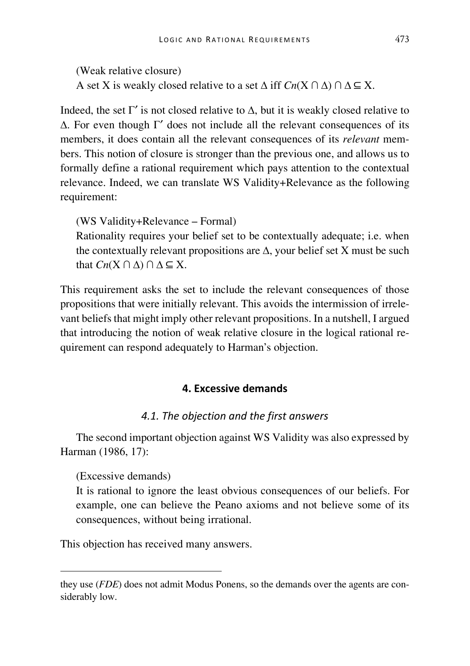(Weak relative closure) A set X is weakly closed relative to a set  $\Delta$  iff  $C_n(X \cap \Delta) \cap \Delta \subseteq X$ .

Indeed, the set Γ' is not closed relative to  $\Delta$ , but it is weakly closed relative to  $\Delta$ . For even though Γ' does not include all the relevant consequences of its members, it does contain all the relevant consequences of its *relevant* members. This notion of closure is stronger than the previous one, and allows us to formally define a rational requirement which pays attention to the contextual relevance. Indeed, we can translate WS Validity+Relevance as the following requirement:

(WS Validity+Relevance – Formal)

Rationality requires your belief set to be contextually adequate; i.e. when the contextually relevant propositions are  $\Delta$ , your belief set X must be such that  $Cn(X \cap \Delta) \cap \Delta \subseteq X$ .

This requirement asks the set to include the relevant consequences of those propositions that were initially relevant. This avoids the intermission of irrelevant beliefs that might imply other relevant propositions. In a nutshell, I argued that introducing the notion of weak relative closure in the logical rational requirement can respond adequately to Harman's objection.

## **4. Excessive demands**

#### *4.1. The objection and the first answers*

The second important objection against WS Validity was also expressed by Harman (1986, 17):

#### (Excessive demands)

-

It is rational to ignore the least obvious consequences of our beliefs. For example, one can believe the Peano axioms and not believe some of its consequences, without being irrational.

This objection has received many answers.

they use (*FDE*) does not admit Modus Ponens, so the demands over the agents are considerably low.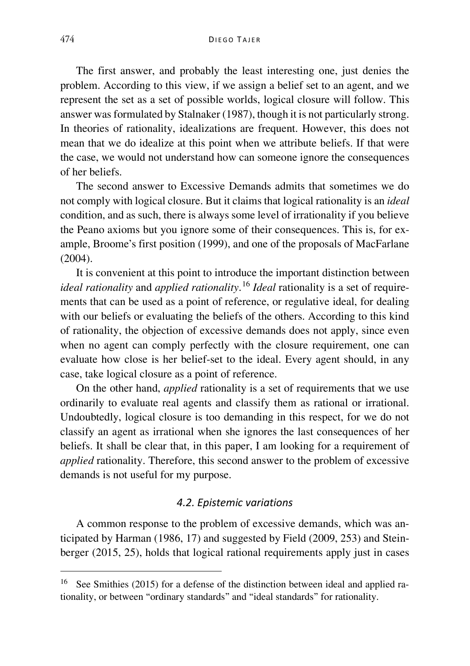The first answer, and probably the least interesting one, just denies the problem. According to this view, if we assign a belief set to an agent, and we represent the set as a set of possible worlds, logical closure will follow. This answer was formulated by Stalnaker (1987), though it is not particularly strong. In theories of rationality, idealizations are frequent. However, this does not mean that we do idealize at this point when we attribute beliefs. If that were the case, we would not understand how can someone ignore the consequences of her beliefs.

The second answer to Excessive Demands admits that sometimes we do not comply with logical closure. But it claims that logical rationality is an *ideal*  condition, and as such, there is always some level of irrationality if you believe the Peano axioms but you ignore some of their consequences. This is, for example, Broome's first position (1999), and one of the proposals of MacFarlane  $(2004)$ .

It is convenient at this point to introduce the important distinction between *ideal rationality* and *applied rationality*. [16](#page-14-0) *Ideal* rationality is a set of requirements that can be used as a point of reference, or regulative ideal, for dealing with our beliefs or evaluating the beliefs of the others. According to this kind of rationality, the objection of excessive demands does not apply, since even when no agent can comply perfectly with the closure requirement, one can evaluate how close is her belief-set to the ideal. Every agent should, in any case, take logical closure as a point of reference.

On the other hand, *applied* rationality is a set of requirements that we use ordinarily to evaluate real agents and classify them as rational or irrational. Undoubtedly, logical closure is too demanding in this respect, for we do not classify an agent as irrational when she ignores the last consequences of her beliefs. It shall be clear that, in this paper, I am looking for a requirement of *applied* rationality. Therefore, this second answer to the problem of excessive demands is not useful for my purpose.

#### *4.2. Epistemic variations*

A common response to the problem of excessive demands, which was anticipated by Harman (1986, 17) and suggested by Field (2009, 253) and Steinberger (2015, 25), holds that logical rational requirements apply just in cases

<span id="page-14-0"></span> <sup>16</sup> See Smithies (2015) for a defense of the distinction between ideal and applied rationality, or between "ordinary standards" and "ideal standards" for rationality.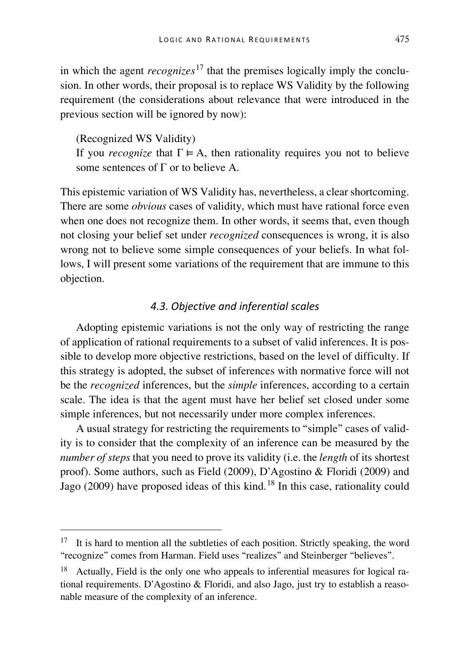in which the agent *recognizes*<sup>[17](#page-15-0)</sup> that the premises logically imply the conclusion. In other words, their proposal is to replace WS Validity by the following requirement (the considerations about relevance that were introduced in the previous section will be ignored by now):

(Recognized WS Validity) If you *recognize* that  $\Gamma \models A$ , then rationality requires you not to believe some sentences of Γ or to believe A.

This epistemic variation of WS Validity has, nevertheless, a clear shortcoming. There are some *obvious* cases of validity, which must have rational force even when one does not recognize them. In other words, it seems that, even though not closing your belief set under *recognized* consequences is wrong, it is also wrong not to believe some simple consequences of your beliefs. In what follows, I will present some variations of the requirement that are immune to this objection.

### *4.3. Objective and inferential scales*

Adopting epistemic variations is not the only way of restricting the range of application of rational requirements to a subset of valid inferences. It is possible to develop more objective restrictions, based on the level of difficulty. If this strategy is adopted, the subset of inferences with normative force will not be the *recognized* inferences, but the *simple* inferences, according to a certain scale. The idea is that the agent must have her belief set closed under some simple inferences, but not necessarily under more complex inferences.

A usual strategy for restricting the requirements to "simple" cases of validity is to consider that the complexity of an inference can be measured by the *number of steps* that you need to prove its validity (i.e. the *length* of its shortest proof). Some authors, such as Field (2009), D'Agostino & Floridi (2009) and Jago (2009) have proposed ideas of this kind.<sup>[18](#page-15-1)</sup> In this case, rationality could

<span id="page-15-0"></span><sup>&</sup>lt;sup>17</sup> It is hard to mention all the subtleties of each position. Strictly speaking, the word "recognize" comes from Harman. Field uses "realizes" and Steinberger "believes".

<span id="page-15-1"></span><sup>&</sup>lt;sup>18</sup> Actually, Field is the only one who appeals to inferential measures for logical rational requirements. D'Agostino & Floridi, and also Jago, just try to establish a reasonable measure of the complexity of an inference.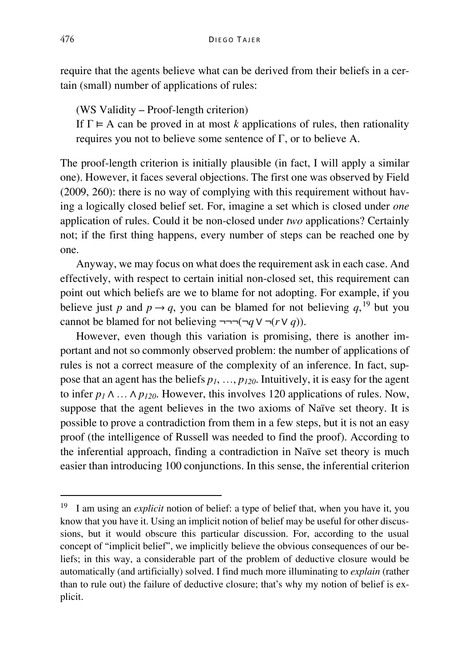require that the agents believe what can be derived from their beliefs in a certain (small) number of applications of rules:

(WS Validity – Proof-length criterion)

If  $\Gamma \models A$  can be proved in at most *k* applications of rules, then rationality requires you not to believe some sentence of  $\Gamma$ , or to believe A.

The proof-length criterion is initially plausible (in fact, I will apply a similar one). However, it faces several objections. The first one was observed by Field (2009, 260): there is no way of complying with this requirement without having a logically closed belief set. For, imagine a set which is closed under *one*  application of rules. Could it be non-closed under *two* applications? Certainly not; if the first thing happens, every number of steps can be reached one by one.

Anyway, we may focus on what does the requirement ask in each case. And effectively, with respect to certain initial non-closed set, this requirement can point out which beliefs are we to blame for not adopting. For example, if you believe just *p* and  $p \rightarrow q$ , you can be blamed for not believing  $q$ , <sup>[19](#page-16-0)</sup> but you cannot be blamed for not believing  $\neg\neg\neg(\neg q \lor \neg (r \lor q))$ .

However, even though this variation is promising, there is another important and not so commonly observed problem: the number of applications of rules is not a correct measure of the complexity of an inference. In fact, suppose that an agent has the beliefs *p1*, …, *p120*. Intuitively, it is easy for the agent to infer  $p_1 \wedge \ldots \wedge p_{120}$ . However, this involves 120 applications of rules. Now, suppose that the agent believes in the two axioms of Naïve set theory. It is possible to prove a contradiction from them in a few steps, but it is not an easy proof (the intelligence of Russell was needed to find the proof). According to the inferential approach, finding a contradiction in Naïve set theory is much easier than introducing 100 conjunctions. In this sense, the inferential criterion

<span id="page-16-0"></span><sup>&</sup>lt;sup>19</sup> I am using an *explicit* notion of belief: a type of belief that, when you have it, you know that you have it. Using an implicit notion of belief may be useful for other discussions, but it would obscure this particular discussion. For, according to the usual concept of "implicit belief", we implicitly believe the obvious consequences of our beliefs; in this way, a considerable part of the problem of deductive closure would be automatically (and artificially) solved. I find much more illuminating to *explain* (rather than to rule out) the failure of deductive closure; that's why my notion of belief is explicit.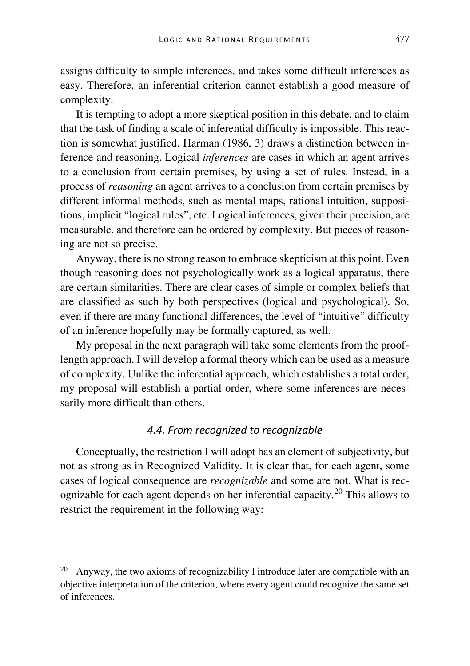assigns difficulty to simple inferences, and takes some difficult inferences as easy. Therefore, an inferential criterion cannot establish a good measure of complexity.

It is tempting to adopt a more skeptical position in this debate, and to claim that the task of finding a scale of inferential difficulty is impossible. This reaction is somewhat justified. Harman (1986, 3) draws a distinction between inference and reasoning. Logical *inferences* are cases in which an agent arrives to a conclusion from certain premises, by using a set of rules. Instead, in a process of *reasoning* an agent arrives to a conclusion from certain premises by different informal methods, such as mental maps, rational intuition, suppositions, implicit "logical rules", etc. Logical inferences, given their precision, are measurable, and therefore can be ordered by complexity. But pieces of reasoning are not so precise.

Anyway, there is no strong reason to embrace skepticism at this point. Even though reasoning does not psychologically work as a logical apparatus, there are certain similarities. There are clear cases of simple or complex beliefs that are classified as such by both perspectives (logical and psychological). So, even if there are many functional differences, the level of "intuitive" difficulty of an inference hopefully may be formally captured, as well.

My proposal in the next paragraph will take some elements from the prooflength approach. I will develop a formal theory which can be used as a measure of complexity. Unlike the inferential approach, which establishes a total order, my proposal will establish a partial order, where some inferences are necessarily more difficult than others.

### *4.4. From recognized to recognizable*

Conceptually, the restriction I will adopt has an element of subjectivity, but not as strong as in Recognized Validity. It is clear that, for each agent, some cases of logical consequence are *recognizable* and some are not. What is recognizable for each agent depends on her inferential capacity.[20](#page-17-0) This allows to restrict the requirement in the following way:

<span id="page-17-0"></span> <sup>20</sup> Anyway, the two axioms of recognizability I introduce later are compatible with an objective interpretation of the criterion, where every agent could recognize the same set of inferences.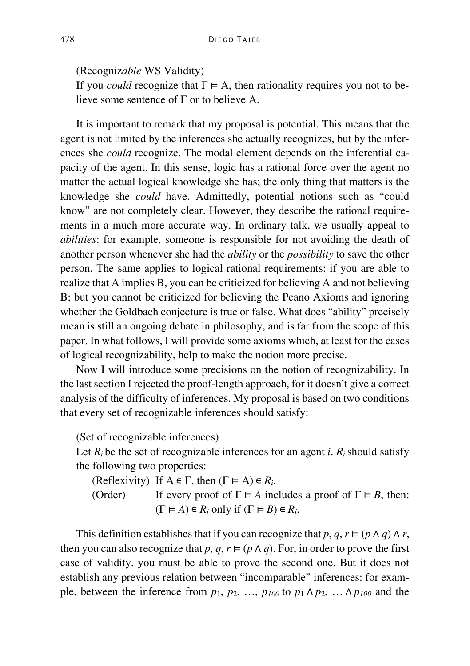(Recogniz*able* WS Validity)

If you *could* recognize that  $\Gamma \models A$ , then rationality requires you not to believe some sentence of Γ or to believe A.

It is important to remark that my proposal is potential. This means that the agent is not limited by the inferences she actually recognizes, but by the inferences she *could* recognize. The modal element depends on the inferential capacity of the agent. In this sense, logic has a rational force over the agent no matter the actual logical knowledge she has; the only thing that matters is the knowledge she *could* have. Admittedly, potential notions such as "could know" are not completely clear. However, they describe the rational requirements in a much more accurate way. In ordinary talk, we usually appeal to *abilities*: for example, someone is responsible for not avoiding the death of another person whenever she had the *ability* or the *possibility* to save the other person. The same applies to logical rational requirements: if you are able to realize that A implies B, you can be criticized for believing A and not believing B; but you cannot be criticized for believing the Peano Axioms and ignoring whether the Goldbach conjecture is true or false. What does "ability" precisely mean is still an ongoing debate in philosophy, and is far from the scope of this paper. In what follows, I will provide some axioms which, at least for the cases of logical recognizability, help to make the notion more precise.

Now I will introduce some precisions on the notion of recognizability. In the last section I rejected the proof-length approach, for it doesn't give a correct analysis of the difficulty of inferences. My proposal is based on two conditions that every set of recognizable inferences should satisfy:

(Set of recognizable inferences)

Let  $R_i$  be the set of recognizable inferences for an agent *i*.  $R_i$  should satisfy the following two properties:

(Reflexivity) If  $A \in \Gamma$ , then  $(\Gamma \models A) \in R_i$ .

(Order) If every proof of  $\Gamma \models A$  includes a proof of  $\Gamma \models B$ , then:  $(\Gamma \vDash A) \in R_i$  only if  $(\Gamma \vDash B) \in R_i$ .

This definition establishes that if you can recognize that *p*,  $q, r \models (p \land q) \land r$ , then you can also recognize that  $p, q, r \models (p \land q)$ . For, in order to prove the first case of validity, you must be able to prove the second one. But it does not establish any previous relation between "incomparable" inferences: for example, between the inference from  $p_1$ ,  $p_2$ , ...,  $p_{100}$  to  $p_1 \wedge p_2$ , ...  $\wedge p_{100}$  and the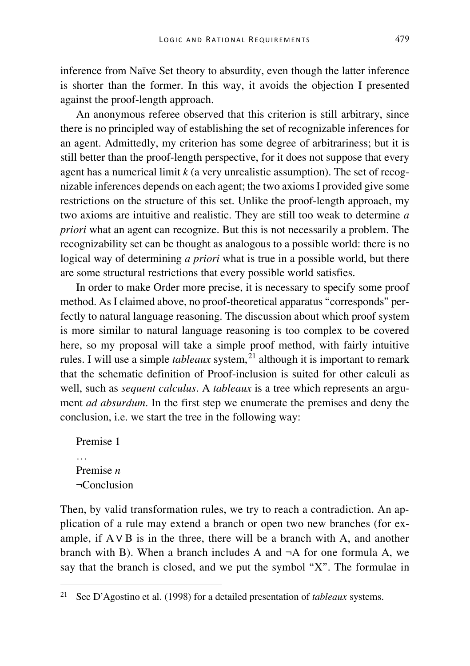inference from Naïve Set theory to absurdity, even though the latter inference is shorter than the former. In this way, it avoids the objection I presented against the proof-length approach.

An anonymous referee observed that this criterion is still arbitrary, since there is no principled way of establishing the set of recognizable inferences for an agent. Admittedly, my criterion has some degree of arbitrariness; but it is still better than the proof-length perspective, for it does not suppose that every agent has a numerical limit  $k$  (a very unrealistic assumption). The set of recognizable inferences depends on each agent; the two axioms I provided give some restrictions on the structure of this set. Unlike the proof-length approach, my two axioms are intuitive and realistic. They are still too weak to determine *a priori* what an agent can recognize. But this is not necessarily a problem. The recognizability set can be thought as analogous to a possible world: there is no logical way of determining *a priori* what is true in a possible world, but there are some structural restrictions that every possible world satisfies.

In order to make Order more precise, it is necessary to specify some proof method. As I claimed above, no proof-theoretical apparatus "corresponds" perfectly to natural language reasoning. The discussion about which proof system is more similar to natural language reasoning is too complex to be covered here, so my proposal will take a simple proof method, with fairly intuitive rules. I will use a simple *tableaux* system, [21](#page-19-0) although it is important to remark that the schematic definition of Proof-inclusion is suited for other calculi as well, such as *sequent calculus*. A *tableaux* is a tree which represents an argument *ad absurdum*. In the first step we enumerate the premises and deny the conclusion, i.e. we start the tree in the following way:

Premise 1 … Premise *n* ¬Conclusion

Then, by valid transformation rules, we try to reach a contradiction. An application of a rule may extend a branch or open two new branches (for example, if  $A \vee B$  is in the three, there will be a branch with A, and another branch with B). When a branch includes A and  $\neg$ A for one formula A, we say that the branch is closed, and we put the symbol "X". The formulae in

<span id="page-19-0"></span> <sup>21</sup> See D'Agostino et al. (1998) for a detailed presentation of *tableaux* systems.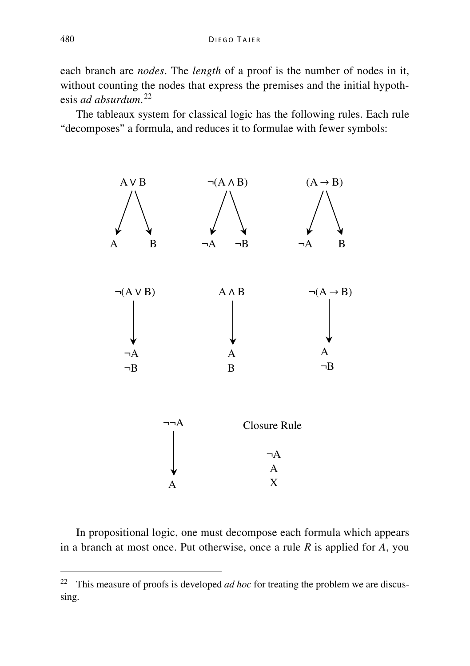each branch are *nodes*. The *length* of a proof is the number of nodes in it, without counting the nodes that express the premises and the initial hypothesis *ad absurdum*. [22](#page-20-0)

The tableaux system for classical logic has the following rules. Each rule "decomposes" a formula, and reduces it to formulae with fewer symbols:



In propositional logic, one must decompose each formula which appears in a branch at most once. Put otherwise, once a rule *R* is applied for *A*, you

<span id="page-20-0"></span> <sup>22</sup> This measure of proofs is developed *ad hoc* for treating the problem we are discussing.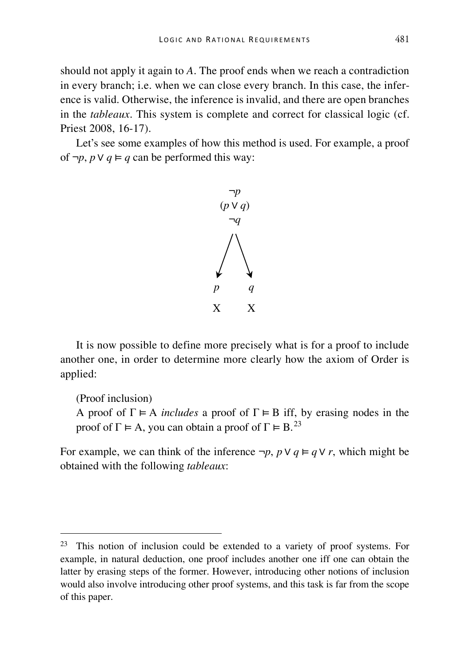should not apply it again to *A*. The proof ends when we reach a contradiction in every branch; i.e. when we can close every branch. In this case, the inference is valid. Otherwise, the inference is invalid, and there are open branches in the *tableaux*. This system is complete and correct for classical logic (cf. Priest 2008, 16-17).

Let's see some examples of how this method is used. For example, a proof of  $\neg p$ ,  $p \lor q \vDash q$  can be performed this way:



It is now possible to define more precisely what is for a proof to include another one, in order to determine more clearly how the axiom of Order is applied:

(Proof inclusion)

A proof of  $\Gamma \models A$  *includes* a proof of  $\Gamma \models B$  iff, by erasing nodes in the proof of  $\Gamma \models A$ , you can obtain a proof of  $\Gamma \models B$ <sup>[23](#page-21-0)</sup>

For example, we can think of the inference  $\neg p$ ,  $p \lor q \vDash q \lor r$ , which might be obtained with the following *tableaux*:

<span id="page-21-0"></span> <sup>23</sup> This notion of inclusion could be extended to a variety of proof systems. For example, in natural deduction, one proof includes another one iff one can obtain the latter by erasing steps of the former. However, introducing other notions of inclusion would also involve introducing other proof systems, and this task is far from the scope of this paper.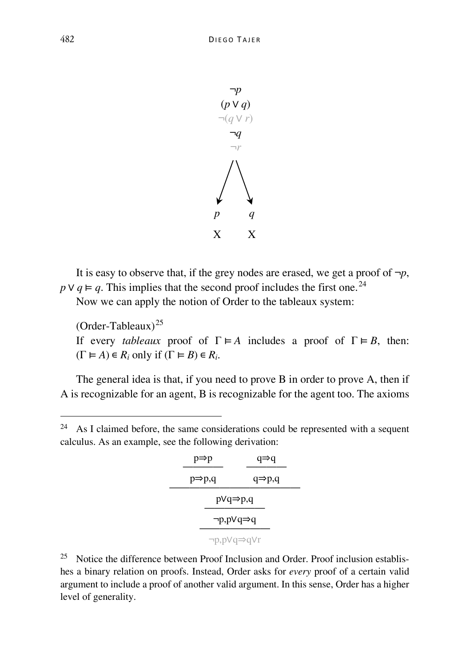

It is easy to observe that, if the grey nodes are erased, we get a proof of  $\neg p$ ,  $p \vee q \vDash q$ . This implies that the second proof includes the first one.<sup>[24](#page-22-0)</sup>

Now we can apply the notion of Order to the tableaux system:

 $(Order-Tableaux)^{25}$  $(Order-Tableaux)^{25}$  $(Order-Tableaux)^{25}$ 

If every *tableaux* proof of  $\Gamma \models A$  includes a proof of  $\Gamma \models B$ , then:  $(\Gamma \vDash A) \in R_i$  only if  $(\Gamma \vDash B) \in R_i$ .

The general idea is that, if you need to prove B in order to prove A, then if A is recognizable for an agent, B is recognizable for the agent too. The axioms

<span id="page-22-0"></span> $24$  As I claimed before, the same considerations could be represented with a sequent calculus. As an example, see the following derivation:

| $p \Rightarrow p$           | $q \Rightarrow q$ |  |  |  |
|-----------------------------|-------------------|--|--|--|
| $p \Rightarrow p,q$         | $q = p,q$         |  |  |  |
| $p \vee q \Rightarrow p, q$ |                   |  |  |  |
| ¬p,pVq⇒q                    |                   |  |  |  |
| ¬p,pVq⇒qVr                  |                   |  |  |  |

<span id="page-22-1"></span><sup>25</sup> Notice the difference between Proof Inclusion and Order. Proof inclusion establishes a binary relation on proofs. Instead, Order asks for *every* proof of a certain valid argument to include a proof of another valid argument. In this sense, Order has a higher level of generality.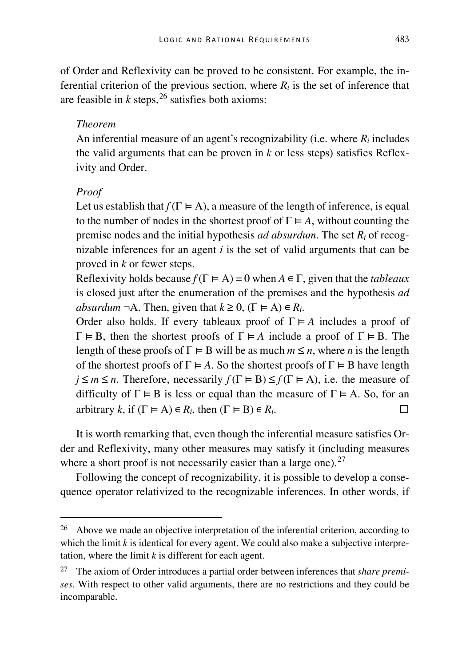of Order and Reflexivity can be proved to be consistent. For example, the inferential criterion of the previous section, where  $R_i$  is the set of inference that are feasible in  $k$  steps,  $26$  satisfies both axioms:

### *Theorem*

An inferential measure of an agent's recognizability (i.e. where *Ri* includes the valid arguments that can be proven in *k* or less steps) satisfies Reflexivity and Order.

#### *Proof*

Let us establish that  $f(\Gamma \models A)$ , a measure of the length of inference, is equal to the number of nodes in the shortest proof of  $\Gamma \models A$ , without counting the premise nodes and the initial hypothesis *ad absurdum*. The set *Ri* of recognizable inferences for an agent *i* is the set of valid arguments that can be proved in *k* or fewer steps.

Reflexivity holds because  $f(\Gamma \models A) = 0$  when  $A \in \Gamma$ , given that the *tableaux* is closed just after the enumeration of the premises and the hypothesis *ad absurdum*  $\neg A$ . Then, given that  $k \geq 0$ ,  $(\Gamma \vDash A) \in R_i$ .

Order also holds. If every tableaux proof of  $\Gamma \models A$  includes a proof of  $\Gamma \models B$ , then the shortest proofs of  $\Gamma \models A$  include a proof of  $\Gamma \models B$ . The length of these proofs of  $\Gamma \models B$  will be as much  $m \le n$ , where *n* is the length of the shortest proofs of  $\Gamma \models A$ . So the shortest proofs of  $\Gamma \models B$  have length  $j \leq m \leq n$ . Therefore, necessarily  $f(\Gamma \models B) \leq f(\Gamma \models A)$ , i.e. the measure of difficulty of  $\Gamma \models B$  is less or equal than the measure of  $\Gamma \models A$ . So, for an arbitrary *k*, if  $(\Gamma \models A) \in R_i$ , then  $(\Gamma \models B) \in R_i$ .

It is worth remarking that, even though the inferential measure satisfies Order and Reflexivity, many other measures may satisfy it (including measures where a short proof is not necessarily easier than a large one).<sup>[27](#page-23-1)</sup>

Following the concept of recognizability, it is possible to develop a consequence operator relativized to the recognizable inferences. In other words, if

<span id="page-23-0"></span><sup>&</sup>lt;sup>26</sup> Above we made an objective interpretation of the inferential criterion, according to which the limit *k* is identical for every agent. We could also make a subjective interpretation, where the limit *k* is different for each agent.

<span id="page-23-1"></span><sup>27</sup> The axiom of Order introduces a partial order between inferences that *share premises*. With respect to other valid arguments, there are no restrictions and they could be incomparable.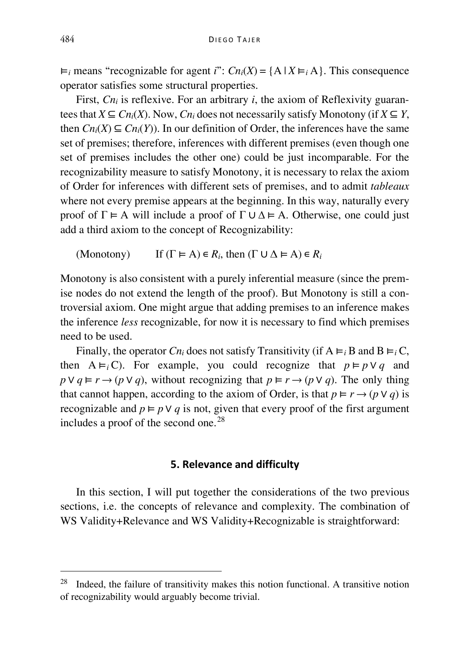$\vdash_i$  means "recognizable for agent *i*":  $Cn_i(X) = \{A \mid X \models_i A\}$ . This consequence operator satisfies some structural properties.

First,  $C_{n_i}$  is reflexive. For an arbitrary *i*, the axiom of Reflexivity guarantees that  $X \subseteq C_{n_i}(X)$ . Now,  $C_{n_i}$  does not necessarily satisfy Monotony (if  $X \subseteq Y$ , then  $C_{n_i}(X) \subseteq C_{n_i}(Y)$ . In our definition of Order, the inferences have the same set of premises; therefore, inferences with different premises (even though one set of premises includes the other one) could be just incomparable. For the recognizability measure to satisfy Monotony, it is necessary to relax the axiom of Order for inferences with different sets of premises, and to admit *tableaux*  where not every premise appears at the beginning. In this way, naturally every proof of  $\Gamma \models A$  will include a proof of  $\Gamma \cup \Delta \models A$ . Otherwise, one could just add a third axiom to the concept of Recognizability:

(Monotony) If  $(\Gamma \vDash A) \in R_i$ , then  $(\Gamma \cup \Delta \vDash A) \in R_i$ 

Monotony is also consistent with a purely inferential measure (since the premise nodes do not extend the length of the proof). But Monotony is still a controversial axiom. One might argue that adding premises to an inference makes the inference *less* recognizable, for now it is necessary to find which premises need to be used.

Finally, the operator  $C_{n_i}$  does not satisfy Transitivity (if  $A \vDash_i B$  and  $B \vDash_i C$ , then  $A \vDash_i C$ . For example, you could recognize that  $p \vDash p \vee q$  and  $p \lor q \vDash r \rightarrow (p \lor q)$ , without recognizing that  $p \vDash r \rightarrow (p \lor q)$ . The only thing that cannot happen, according to the axiom of Order, is that  $p \vDash r \rightarrow (p \vee q)$  is recognizable and  $p \models p \lor q$  is not, given that every proof of the first argument includes a proof of the second one.[28](#page-24-0)

#### **5. Relevance and difficulty**

In this section, I will put together the considerations of the two previous sections, i.e. the concepts of relevance and complexity. The combination of WS Validity+Relevance and WS Validity+Recognizable is straightforward:

<span id="page-24-0"></span> $28$  Indeed, the failure of transitivity makes this notion functional. A transitive notion of recognizability would arguably become trivial.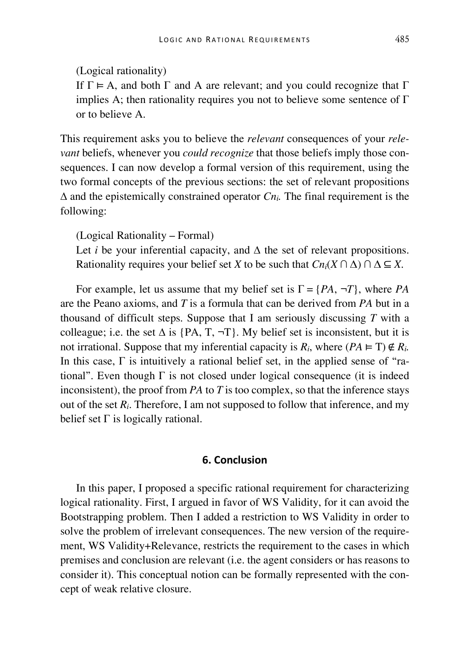If  $\Gamma \vDash A$ , and both  $\Gamma$  and A are relevant; and you could recognize that  $\Gamma$ implies A; then rationality requires you not to believe some sentence of  $\Gamma$ or to believe A.

This requirement asks you to believe the *relevant* consequences of your *relevant* beliefs, whenever you *could recognize* that those beliefs imply those consequences. I can now develop a formal version of this requirement, using the two formal concepts of the previous sections: the set of relevant propositions  $\Delta$  and the epistemically constrained operator  $C_{n_i}$ . The final requirement is the following:

(Logical Rationality – Formal)

Let *i* be your inferential capacity, and  $\Delta$  the set of relevant propositions. Rationality requires your belief set *X* to be such that  $Cn_i(X \cap \Delta) \cap \Delta \subseteq X$ .

For example, let us assume that my belief set is  $\Gamma = \{PA, \neg T\}$ , where *PA* are the Peano axioms, and *T* is a formula that can be derived from *PA* but in a thousand of difficult steps. Suppose that I am seriously discussing *T* with a colleague; i.e. the set  $\Delta$  is {PA, T,  $\neg$ T}. My belief set is inconsistent, but it is not irrational. Suppose that my inferential capacity is  $R_i$ , where  $(PA \vDash T) \notin R_i$ . In this case, Γ is intuitively a rational belief set, in the applied sense of "rational". Even though  $\Gamma$  is not closed under logical consequence (it is indeed inconsistent), the proof from *PA* to *T* is too complex, so that the inference stays out of the set  $R_i$ . Therefore, I am not supposed to follow that inference, and my belief set  $\Gamma$  is logically rational.

#### **6. Conclusion**

In this paper, I proposed a specific rational requirement for characterizing logical rationality. First, I argued in favor of WS Validity, for it can avoid the Bootstrapping problem. Then I added a restriction to WS Validity in order to solve the problem of irrelevant consequences. The new version of the requirement, WS Validity+Relevance, restricts the requirement to the cases in which premises and conclusion are relevant (i.e. the agent considers or has reasons to consider it). This conceptual notion can be formally represented with the concept of weak relative closure.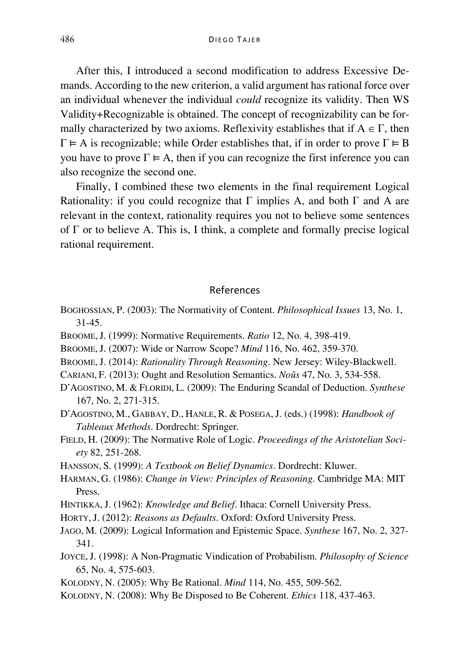After this, I introduced a second modification to address Excessive Demands. According to the new criterion, a valid argument has rational force over an individual whenever the individual *could* recognize its validity. Then WS Validity+Recognizable is obtained. The concept of recognizability can be formally characterized by two axioms. Reflexivity establishes that if  $A \in \Gamma$ , then  $\Gamma \models A$  is recognizable; while Order establishes that, if in order to prove  $\Gamma \models B$ you have to prove  $\Gamma \models A$ , then if you can recognize the first inference you can also recognize the second one.

Finally, I combined these two elements in the final requirement Logical Rationality: if you could recognize that  $\Gamma$  implies A, and both  $\Gamma$  and A are relevant in the context, rationality requires you not to believe some sentences of Γ or to believe A. This is, I think, a complete and formally precise logical rational requirement.

#### References

- BOGHOSSIAN, P. (2003): The Normativity of Content. *Philosophical Issues* 13, No. 1, 31-45.
- BROOME,J. (1999): Normative Requirements. *Ratio* 12, No. 4, 398-419.
- BROOME,J. (2007): Wide or Narrow Scope? *Mind* 116, No. 462, 359-370.
- BROOME,J. (2014): *Rationality Through Reasoning*. New Jersey: Wiley-Blackwell.
- CARIANI, F. (2013): Ought and Resolution Semantics. *Noûs* 47, No. 3, 534-558.
- D'AGOSTINO, M. & FLORIDI, L. (2009): The Enduring Scandal of Deduction. *Synthese*  167, No. 2, 271-315.
- D'AGOSTINO, M., GABBAY, D., HANLE, R. & POSEGA, J. (eds.) (1998): *Handbook of Tableaux Methods*. Dordrecht: Springer.
- FIELD, H. (2009): The Normative Role of Logic. *Proceedings of the Aristotelian Society* 82, 251-268.
- HANSSON, S. (1999): *A Textbook on Belief Dynamics*. Dordrecht: Kluwer.
- HARMAN, G. (1986): *Change in View: Principles of Reasoning*. Cambridge MA: MIT Press.
- HINTIKKA, J. (1962): *Knowledge and Belief*. Ithaca: Cornell University Press.
- HORTY,J. (2012): *Reasons as Defaults*. Oxford: Oxford University Press.
- JAGO, M. (2009): Logical Information and Epistemic Space. *Synthese* 167, No. 2, 327- 341.
- JOYCE,J. (1998): A Non-Pragmatic Vindication of Probabilism. *Philosophy of Science*  65, No. 4, 575-603.
- KOLODNY, N. (2005): Why Be Rational. *Mind* 114, No. 455, 509-562.
- KOLODNY, N. (2008): Why Be Disposed to Be Coherent. *Ethics* 118, 437-463.